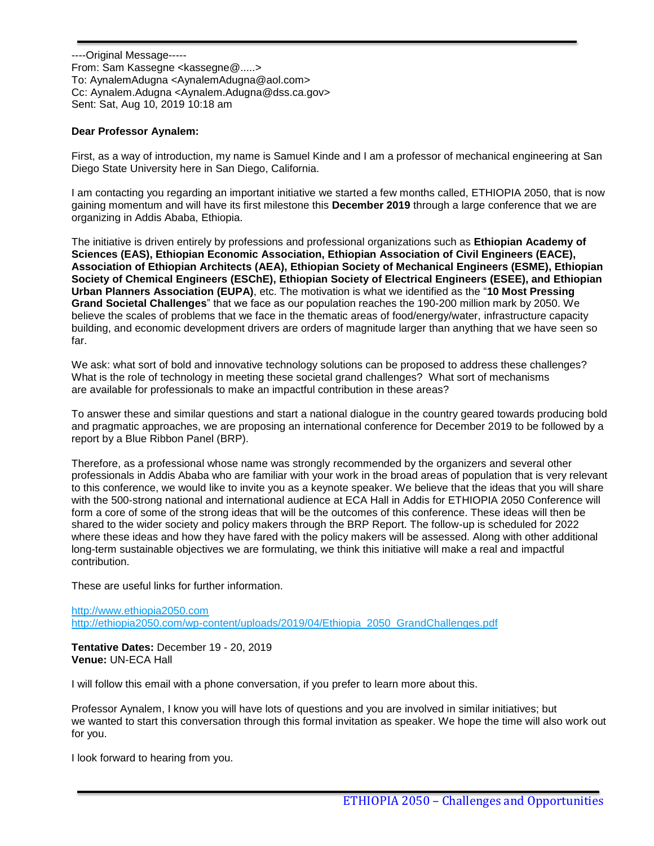----Original Message----- From: Sam Kassegne <kassegne@.....> To: AynalemAdugna <AynalemAdugna@aol.com> Cc: Aynalem.Adugna <Aynalem.Adugna@dss.ca.gov> Sent: Sat, Aug 10, 2019 10:18 am

#### **Dear Professor Aynalem:**

First, as a way of introduction, my name is Samuel Kinde and I am a professor of mechanical engineering at San Diego State University here in San Diego, California.

I am contacting you regarding an important initiative we started a few months called, ETHIOPIA 2050, that is now gaining momentum and will have its first milestone this **December 2019** through a large conference that we are organizing in Addis Ababa, Ethiopia.

The initiative is driven entirely by professions and professional organizations such as **Ethiopian Academy of Sciences (EAS), Ethiopian Economic Association, Ethiopian Association of Civil Engineers (EACE), Association of Ethiopian Architects (AEA), Ethiopian Society of Mechanical Engineers (ESME), Ethiopian Society of Chemical Engineers (ESChE), Ethiopian Society of Electrical Engineers (ESEE), and Ethiopian Urban Planners Association (EUPA)**, etc. The motivation is what we identified as the "**10 Most Pressing Grand Societal Challenges**" that we face as our population reaches the 190-200 million mark by 2050. We believe the scales of problems that we face in the thematic areas of food/energy/water, infrastructure capacity building, and economic development drivers are orders of magnitude larger than anything that we have seen so far.

We ask: what sort of bold and innovative technology solutions can be proposed to address these challenges? What is the role of technology in meeting these societal grand challenges? What sort of mechanisms are available for professionals to make an impactful contribution in these areas?

To answer these and similar questions and start a national dialogue in the country geared towards producing bold and pragmatic approaches, we are proposing an international conference for December 2019 to be followed by a report by a Blue Ribbon Panel (BRP).

Therefore, as a professional whose name was strongly recommended by the organizers and several other professionals in Addis Ababa who are familiar with your work in the broad areas of population that is very relevant to this conference, we would like to invite you as a keynote speaker. We believe that the ideas that you will share with the 500-strong national and international audience at ECA Hall in Addis for ETHIOPIA 2050 Conference will form a core of some of the strong ideas that will be the outcomes of this conference. These ideas will then be shared to the wider society and policy makers through the BRP Report. The follow-up is scheduled for 2022 where these ideas and how they have fared with the policy makers will be assessed. Along with other additional long-term sustainable objectives we are formulating, we think this initiative will make a real and impactful contribution.

These are useful links for further information.

[http://www.ethiopia2050.com](http://www.ethiopia2050.com/) [http://ethiopia2050.com/wp-content/uploads/2019/04/Ethiopia\\_2050\\_GrandChallenges.pdf](http://ethiopia2050.com/wp-content/uploads/2019/04/Ethiopia_2050_GrandChallenges.pdf)

**Tentative Dates:** December 19 - 20, 2019 **Venue:** UN-ECA Hall

I will follow this email with a phone conversation, if you prefer to learn more about this.

Professor Aynalem, I know you will have lots of questions and you are involved in similar initiatives; but we wanted to start this conversation through this formal invitation as speaker. We hope the time will also work out for you.

I look forward to hearing from you.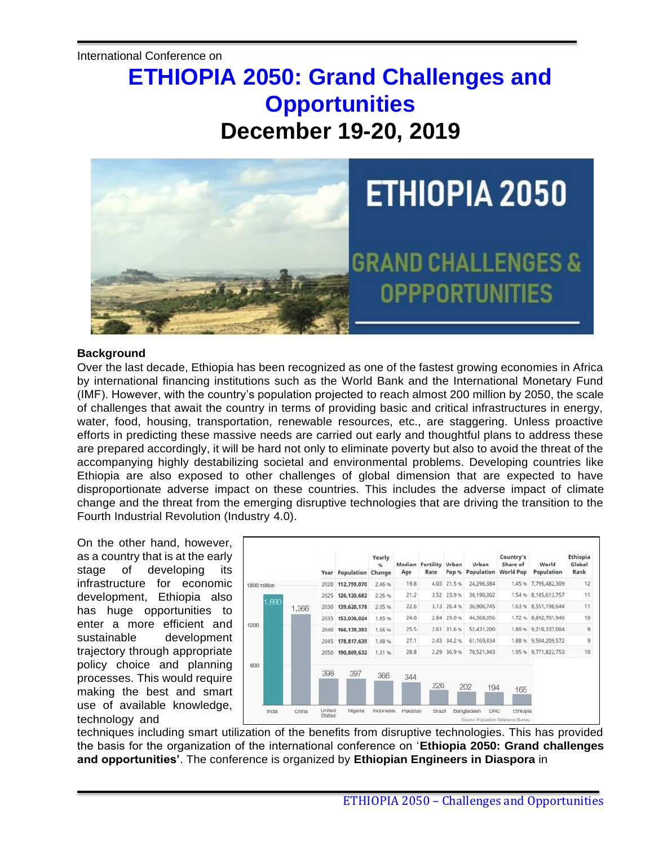# **ETHIOPIA 2050: Grand Challenges and Opportunities December 19-20, 2019**



# **Background**

Over the last decade, Ethiopia has been recognized as one of the fastest growing economies in Africa by international financing institutions such as the World Bank and the International Monetary Fund (IMF). However, with the country's population projected to reach almost 200 million by 2050, the scale of challenges that await the country in terms of providing basic and critical infrastructures in energy, water, food, housing, transportation, renewable resources, etc., are staggering. Unless proactive efforts in predicting these massive needs are carried out early and thoughtful plans to address these are prepared accordingly, it will be hard not only to eliminate poverty but also to avoid the threat of the accompanying highly destabilizing societal and environmental problems. Developing countries like Ethiopia are also exposed to other challenges of global dimension that are expected to have disproportionate adverse impact on these countries. This includes the adverse impact of climate change and the threat from the emerging disruptive technologies that are driving the transition to the Fourth Industrial Revolution (Industry 4.0).

On the other hand, however, as a country that is at the early stage of developing its infrastructure for economic development, Ethiopia also has huge opportunities to enter a more efficient and sustainable development trajectory through appropriate policy choice and planning processes. This would require making the best and smart use of available knowledge, technology and



techniques including smart utilization of the benefits from disruptive technologies. This has provided the basis for the organization of the international conference on '**Ethiopia 2050: Grand challenges and opportunities'**. The conference is organized by **Ethiopian Engineers in Diaspora** in